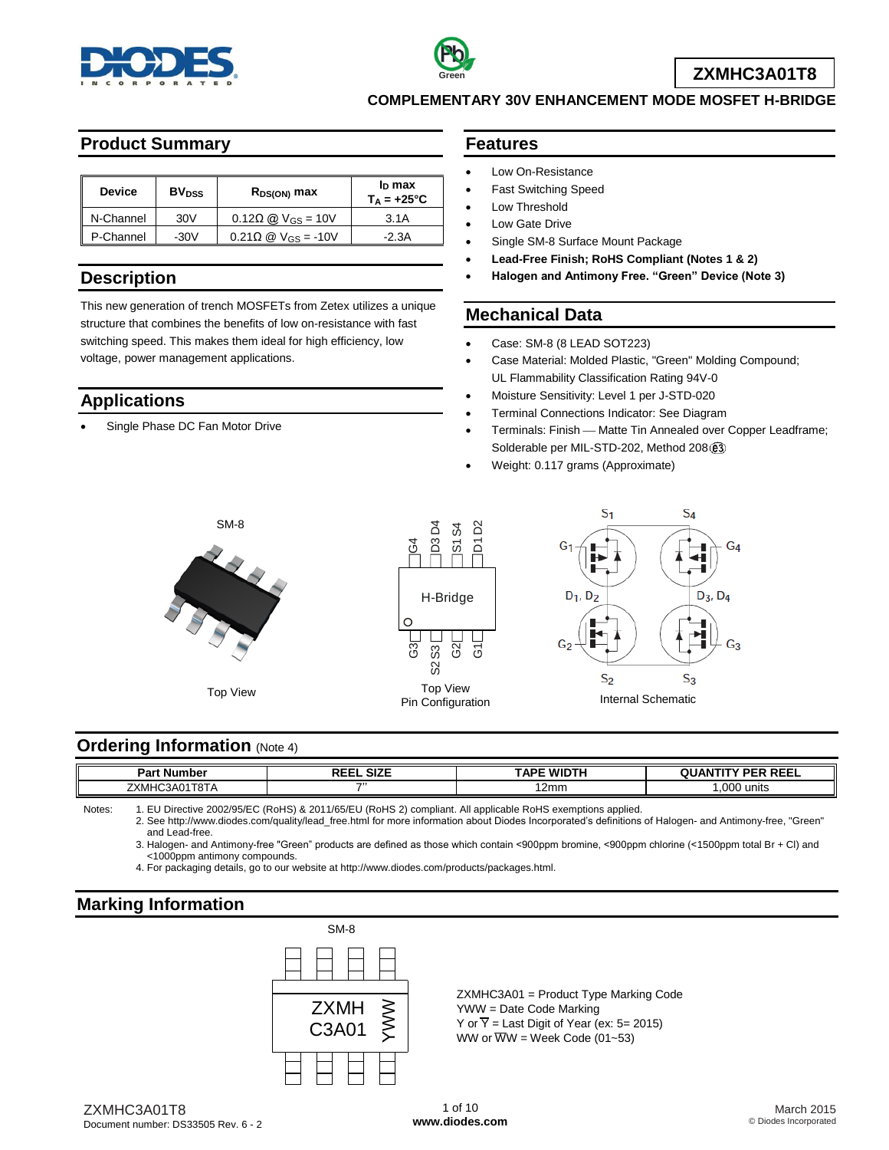



**COMPLEMENTARY 30V ENHANCEMENT MODE MOSFET H-BRIDGE**

#### **Product Summary**

| <b>Device</b> | <b>BV<sub>DSS</sub></b> | $R_{DS(ON)}$ max                                      | In max<br>$T_A = +25^{\circ}C$ |
|---------------|-------------------------|-------------------------------------------------------|--------------------------------|
| N-Channel     | 30V                     | $0.12\Omega$ @ $V_{GS} = 10V$                         | 3.1A                           |
| P-Channel     | $-30V$                  | $0.21\Omega \n\textcircled{2}$ V <sub>GS</sub> = -10V | $-2.3A$                        |

#### **Description**

This new generation of trench MOSFETs from Zetex utilizes a unique structure that combines the benefits of low on-resistance with fast switching speed. This makes them ideal for high efficiency, low voltage, power management applications.

#### **Applications**

Single Phase DC Fan Motor Drive

#### **Features**

- Low On-Resistance
- Fast Switching Speed
- Low Threshold
- Low Gate Drive
- Single SM-8 Surface Mount Package
- **Lead-Free Finish; RoHS Compliant (Notes 1 & 2)**
- **Halogen and Antimony Free. "Green" Device (Note 3)**

### **Mechanical Data**

- Case: SM-8 (8 LEAD SOT223)
- Case Material: Molded Plastic, "Green" Molding Compound; UL Flammability Classification Rating 94V-0
- Moisture Sensitivity: Level 1 per J-STD-020
- Terminal Connections Indicator: See Diagram
- Terminals: Finish Matte Tin Annealed over Copper Leadframe; Solderable per MIL-STD-202, Method 208 (e3)
- Weight: 0.117 grams (Approximate)







#### **Ordering Information (Note 4)**

| ⊃ar∖<br>.mbe <sup>.</sup><br>Ш                     | $\sim$<br>---<br>. JILE<br>. | <b>TAPE WIDTH</b> | <b>DEEI</b><br><b>DED</b><br>드ㄷㄴ |
|----------------------------------------------------|------------------------------|-------------------|----------------------------------|
| דס־<br>フヽハ<br>``<br>∧M⊢<br>181A<br>71.<br>$\cdots$ |                              | 12mm              | ,000 units                       |

Notes: 1. EU Directive 2002/95/EC (RoHS) & 2011/65/EU (RoHS 2) compliant. All applicable RoHS exemptions applied.

2. See [http://www.diodes.com/quality/lead\\_free.html](http://www.diodes.com/quality/lead_free.html) for more information about Diodes Incorporated's definitions of Halogen- and Antimony-free, "Green" and Lead-free.

3. Halogen- and Antimony-free "Green" products are defined as those which contain <900ppm bromine, <900ppm chlorine (<1500ppm total Br + Cl) and <1000ppm antimony compounds.

4. For packaging details, go to our website at [http://www.diodes.com/products/packages.html.](http://www.diodes.com/products/packages.html)

# **Marking Information**



ZXMHC3A01 = Product Type Marking Code YWW = Date Code Marking Y or  $\overline{Y}$  = Last Digit of Year (ex: 5= 2015) WW or  $\overline{W}W$  = Week Code (01~53)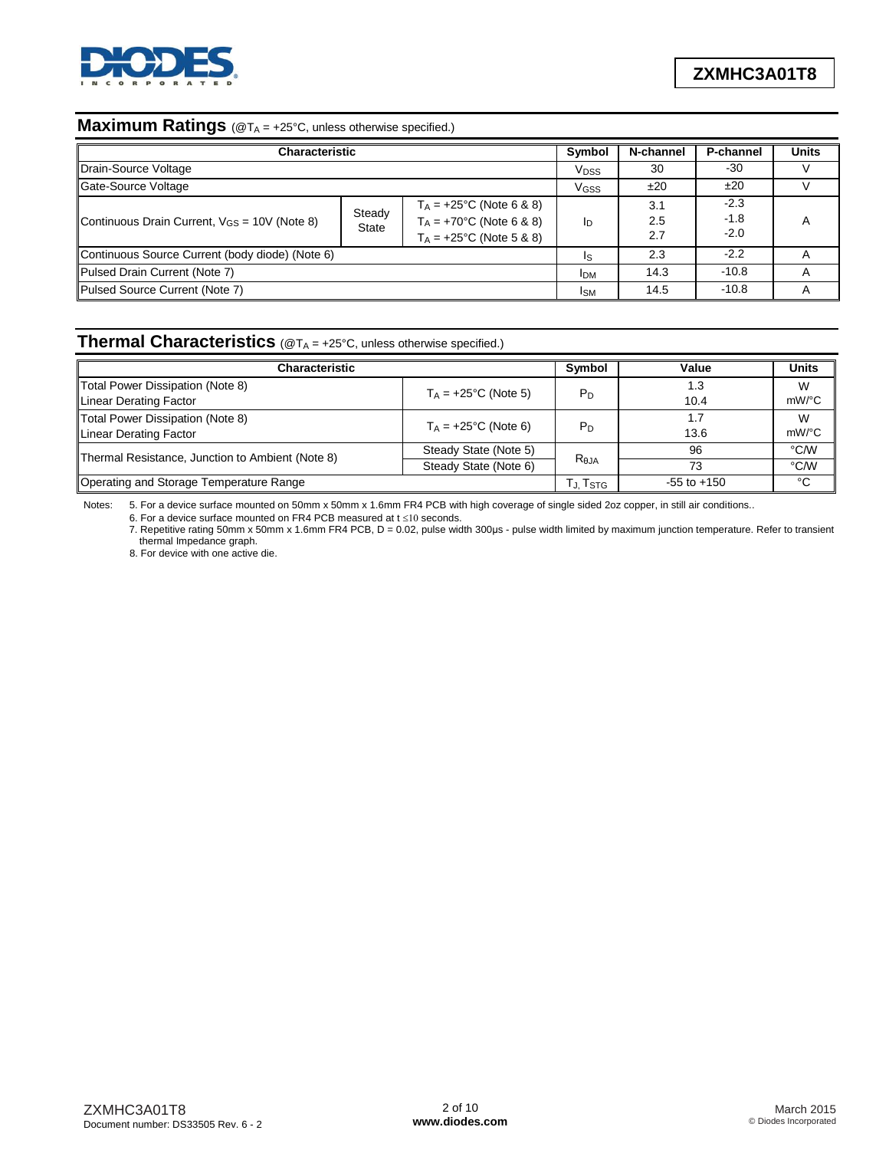

# **Maximum Ratings** (@T<sub>A</sub> = +25°C, unless otherwise specified.)

| <b>Characteristic</b>                             | <b>Symbol</b>          | N-channel         | P-channel                  | <b>Units</b> |
|---------------------------------------------------|------------------------|-------------------|----------------------------|--------------|
| Drain-Source Voltage                              | <b>V<sub>DSS</sub></b> | 30                | -30                        |              |
| Gate-Source Voltage                               | <b>V<sub>GSS</sub></b> | ±20               | ±20                        |              |
| Continuous Drain Current, $V_{GS} = 10V$ (Note 8) | Iр                     | 3.1<br>2.5<br>2.7 | $-2.3$<br>$-1.8$<br>$-2.0$ | А            |
| Continuous Source Current (body diode) (Note 6)   | Is                     | 2.3               | $-2.2$                     |              |
| Pulsed Drain Current (Note 7)                     | <b>IDM</b>             | 14.3              | $-10.8$                    | А            |
| Pulsed Source Current (Note 7)                    | <sub>ISM</sub>         | 14.5              | $-10.8$                    |              |

## **Thermal Characteristics** (@T<sup>A</sup> = +25°C, unless otherwise specified.)

| <b>Characteristic</b>                                      | Symbol                                | Value           | <b>Units</b> |               |
|------------------------------------------------------------|---------------------------------------|-----------------|--------------|---------------|
| Total Power Dissipation (Note 8)<br>Linear Derating Factor | $T_A = +25$ °C (Note 5)               | $P_D$           | 1.3<br>10.4  | W<br>mW/°C    |
| Total Power Dissipation (Note 8)<br>Linear Derating Factor | $T_A = +25$ °C (Note 6)               | P <sub>D</sub>  | 13.6         | W<br>$mW$ /°C |
|                                                            | Steady State (Note 5)                 |                 | 96           | °C/W          |
| Thermal Resistance, Junction to Ambient (Note 8)           | Steady State (Note 6)                 | Reja            | 73           | °C/W          |
| Operating and Storage Temperature Range                    | $T_{\mathrm{J}}$ , $T_{\mathrm{STG}}$ | $-55$ to $+150$ | °C           |               |

Notes: 5. For a device surface mounted on 50mm x 50mm x 1.6mm FR4 PCB with high coverage of single sided 2oz copper, in still air conditions..

6. For a device surface mounted on FR4 PCB measured at  $t \le 10$  seconds.

7. Repetitive rating 50mm x 50mm x 1.6mm FR4 PCB, D = 0.02, pulse width 300us - pulse width limited by maximum junction temperature. Refer to transient thermal Impedance graph.

8. For device with one active die.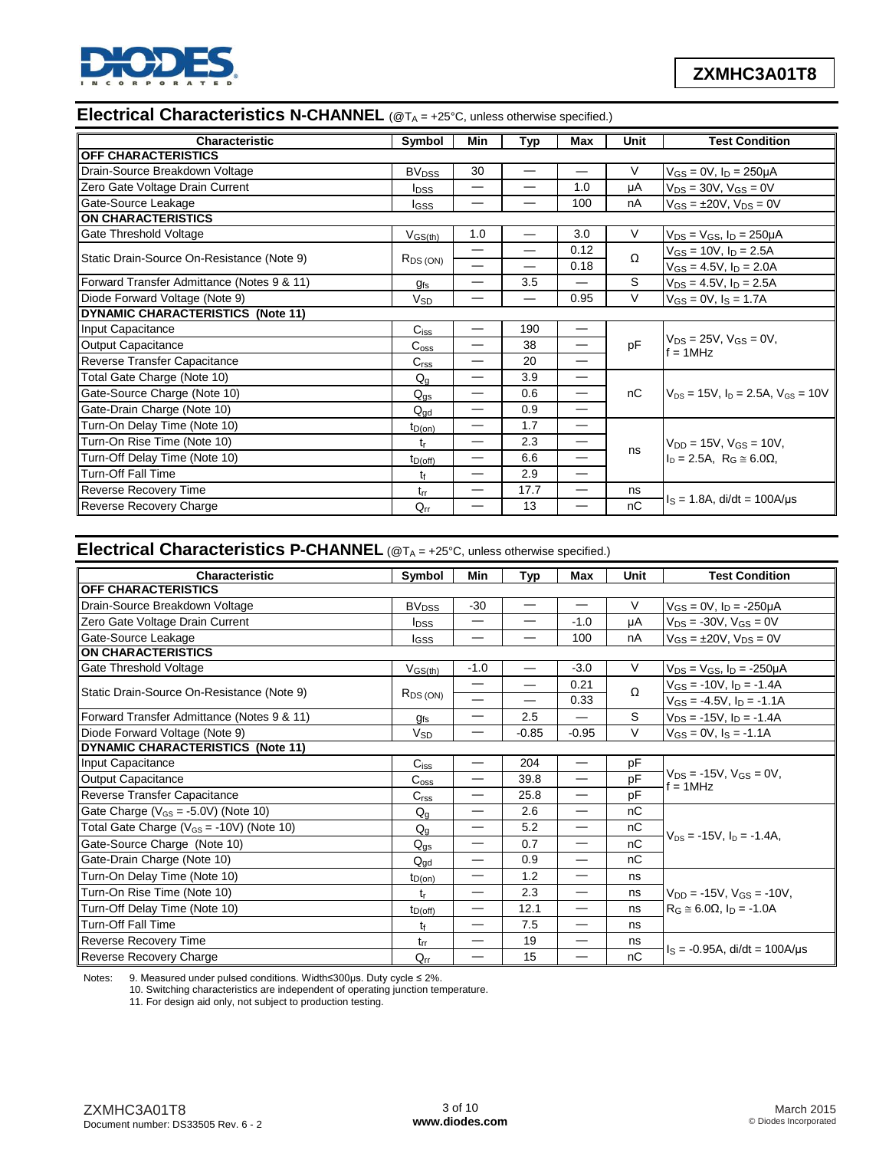

# **Electrical Characteristics N-CHANNEL** (@T<sub>A</sub> = +25°C, unless otherwise specified.)

| <b>Characteristic</b>                      | Symbol                  | Min                      | Typ                      | Max                              | Unit | <b>Test Condition</b>                           |  |
|--------------------------------------------|-------------------------|--------------------------|--------------------------|----------------------------------|------|-------------------------------------------------|--|
| <b>OFF CHARACTERISTICS</b>                 |                         |                          |                          |                                  |      |                                                 |  |
| Drain-Source Breakdown Voltage             | <b>BV<sub>DSS</sub></b> | 30                       |                          | —                                | V    | $V_{GS} = 0V$ , $I_D = 250 \mu A$               |  |
| Zero Gate Voltage Drain Current            | <b>I</b> <sub>DSS</sub> |                          | —                        | 1.0                              | μA   | $V_{DS} = 30V$ , $V_{GS} = 0V$                  |  |
| Gate-Source Leakage                        | Igss                    |                          |                          | 100                              | nA   | $V_{GS} = \pm 20V$ , $V_{DS} = 0V$              |  |
| <b>ON CHARACTERISTICS</b>                  |                         |                          |                          |                                  |      |                                                 |  |
| Gate Threshold Voltage                     | $V_{GS(th)}$            | 1.0                      |                          | 3.0                              | V    | $V_{DS} = V_{GS}$ , $I_D = 250 \mu A$           |  |
| Static Drain-Source On-Resistance (Note 9) |                         | $\overline{\phantom{0}}$ |                          | 0.12                             | Ω    | $V_{GS}$ = 10V, $I_D$ = 2.5A                    |  |
|                                            | $R_{DS(ON)}$            | $\overline{\phantom{0}}$ | $\overline{\phantom{0}}$ | 0.18                             |      | $V_{GS} = 4.5V$ , $I_D = 2.0A$                  |  |
| Forward Transfer Admittance (Notes 9 & 11) | $g_{fs}$                |                          | 3.5                      | $\overline{\phantom{0}}$         | S    | $V_{DS} = 4.5V$ , $I_D = 2.5A$                  |  |
| Diode Forward Voltage (Note 9)             | <b>V<sub>SD</sub></b>   | —                        |                          | 0.95                             | V    | $V_{GS} = 0V$ , $I_S = 1.7A$                    |  |
| DYNAMIC CHARACTERISTICS (Note 11)          |                         |                          |                          |                                  |      |                                                 |  |
| Input Capacitance                          | $C_{iss}$               |                          | 190                      | $\overbrace{\phantom{12322111}}$ |      | $V_{DS} = 25V$ , $V_{GS} = 0V$ ,<br>$f = 1$ MHz |  |
| <b>Output Capacitance</b>                  | C <sub>oss</sub>        | —                        | 38                       | —                                | pF   |                                                 |  |
| Reverse Transfer Capacitance               | C <sub>rss</sub>        | $\overline{\phantom{0}}$ | 20                       | $\overline{\phantom{0}}$         |      |                                                 |  |
| Total Gate Charge (Note 10)                | $Q_{q}$                 | —                        | 3.9                      |                                  |      |                                                 |  |
| Gate-Source Charge (Note 10)               | $Q_{\text{qs}}$         |                          | 0.6                      | —                                | nC   | $V_{DS}$ = 15V, $I_D$ = 2.5A, $V_{GS}$ = 10V    |  |
| Gate-Drain Charge (Note 10)                | $Q_{\text{ad}}$         |                          | 0.9                      | —                                |      |                                                 |  |
| Turn-On Delay Time (Note 10)               | $t_{D(on)}$             |                          | 1.7                      | $\overline{\phantom{0}}$         |      |                                                 |  |
| Turn-On Rise Time (Note 10)                | t,                      |                          | 2.3                      | $\overline{\phantom{0}}$         |      | $V_{DD} = 15V$ , $V_{GS} = 10V$ ,               |  |
| Turn-Off Delay Time (Note 10)              | $t_{D(off)}$            | $\overline{\phantom{0}}$ | 6.6                      | —                                | ns   | $I_D = 2.5A$ , $R_G \approx 6.0\Omega$ ,        |  |
| <b>Turn-Off Fall Time</b>                  | tf                      |                          | 2.9                      | $\overline{\phantom{0}}$         |      |                                                 |  |
| Reverse Recovery Time                      | $t_{rr}$                |                          | 17.7                     | —                                | ns   |                                                 |  |
| <b>Reverse Recovery Charge</b>             | $Q_{rr}$                |                          | 13                       |                                  | nC   | $I_S = 1.8A$ , di/dt = 100A/us                  |  |

### **Electrical Characteristics P-CHANNEL** (@T<sup>A</sup> = +25°C, unless otherwise specified.)

| Characteristic                                 | Symbol                  | Min                           | Typ                      | <b>Max</b>                      | Unit     | <b>Test Condition</b>                            |  |
|------------------------------------------------|-------------------------|-------------------------------|--------------------------|---------------------------------|----------|--------------------------------------------------|--|
| <b>OFF CHARACTERISTICS</b>                     |                         |                               |                          |                                 |          |                                                  |  |
| Drain-Source Breakdown Voltage                 | <b>BV<sub>DSS</sub></b> | $-30$                         | $\overline{\phantom{0}}$ |                                 | V        | $V_{GS} = 0V$ , $I_D = -250\mu A$                |  |
| Zero Gate Voltage Drain Current                | <b>I</b> <sub>DSS</sub> | —                             |                          | $-1.0$                          | μA       | $V_{DS} = -30V$ , $V_{GS} = 0V$                  |  |
| Gate-Source Leakage                            | lgss                    |                               |                          | 100                             | nA       | $V_{GS} = \pm 20V$ , $V_{DS} = 0V$               |  |
| <b>ON CHARACTERISTICS</b>                      |                         |                               |                          |                                 |          |                                                  |  |
| Gate Threshold Voltage                         | $V_{GS(th)}$            | $-1.0$                        |                          | $-3.0$                          | $\vee$   | $V_{DS} = V_{GS}$ , $I_D = -250 \mu A$           |  |
|                                                |                         | —                             |                          | 0.21                            | $\Omega$ | $V_{GS} = -10V$ , $I_D = -1.4A$                  |  |
| Static Drain-Source On-Resistance (Note 9)     | $R_{DS(ON)}$            | $\overline{\phantom{0}}$      |                          | 0.33                            |          | $V_{GS} = -4.5V$ , $I_D = -1.1A$                 |  |
| Forward Transfer Admittance (Notes 9 & 11)     | g <sub>fs</sub>         | —                             | 2.5                      |                                 | S        | $V_{DS}$ = -15V, $I_D$ = -1.4A                   |  |
| Diode Forward Voltage (Note 9)                 | <b>V<sub>SD</sub></b>   |                               | $-0.85$                  | $-0.95$                         | V        | $V_{GS} = 0V$ , $I_S = -1.1A$                    |  |
| DYNAMIC CHARACTERISTICS (Note 11)              |                         |                               |                          |                                 |          |                                                  |  |
| Input Capacitance                              | $C_{iss}$               | $\overline{\phantom{0}}$      | 204                      |                                 | pF       |                                                  |  |
| Output Capacitance                             | $C_{\rm{oss}}$          | —                             | 39.8                     | —                               | pF       | $V_{DS} = -15V$ , $V_{GS} = 0V$ ,<br>$f = 1$ MHz |  |
| Reverse Transfer Capacitance                   | C <sub>rss</sub>        | $\overline{\phantom{0}}$      | 25.8                     |                                 | pF       |                                                  |  |
| Gate Charge ( $V_{GS}$ = -5.0V) (Note 10)      | $Q_{q}$                 | $\overline{\phantom{0}}$      | 2.6                      | $\overline{\phantom{m}}$        | nC       |                                                  |  |
| Total Gate Charge ( $V_{GS}$ = -10V) (Note 10) | $Q_g$                   | $\overline{\phantom{0}}$      | 5.2                      |                                 | nC       |                                                  |  |
| Gate-Source Charge (Note 10)                   | $Q_{qs}$                | $\overline{\phantom{0}}$      | 0.7                      |                                 | nC       | $V_{DS} = -15V$ , $I_D = -1.4A$ .                |  |
| Gate-Drain Charge (Note 10)                    | $Q_{dd}$                | $\overbrace{\phantom{12332}}$ | 0.9                      | $\overline{\phantom{m}}$        | nC       |                                                  |  |
| Turn-On Delay Time (Note 10)                   | $t_{D(on)}$             | $\overline{\phantom{0}}$      | 1.2                      | $\hspace{0.1mm}-\hspace{0.1mm}$ | ns       |                                                  |  |
| Turn-On Rise Time (Note 10)                    | tr                      | $\overline{\phantom{0}}$      | 2.3                      |                                 | ns       | $V_{DD} = -15V$ , $V_{GS} = -10V$ ,              |  |
| Turn-Off Delay Time (Note 10)                  | $t_{D(off)}$            |                               | 12.1                     | $\overline{\phantom{m}}$        | ns       | $R_G \approx 6.0\Omega$ , $I_D = -1.0A$          |  |
| <b>Turn-Off Fall Time</b>                      | tŧ                      |                               | 7.5                      | $\overline{\phantom{m}}$        | ns       |                                                  |  |
| Reverse Recovery Time                          | $t_{rr}$                |                               | 19                       | $\hspace{0.1mm}-\hspace{0.1mm}$ | ns       |                                                  |  |
| Reverse Recovery Charge                        | $Q_{rr}$                | —                             | 15                       |                                 | nC       | $I_S = -0.95A$ , di/dt = 100A/us                 |  |

Notes: 9. Measured under pulsed conditions. Width≤300μs. Duty cycle ≤ 2%.

10. Switching characteristics are independent of operating junction temperature.

11. For design aid only, not subject to production testing.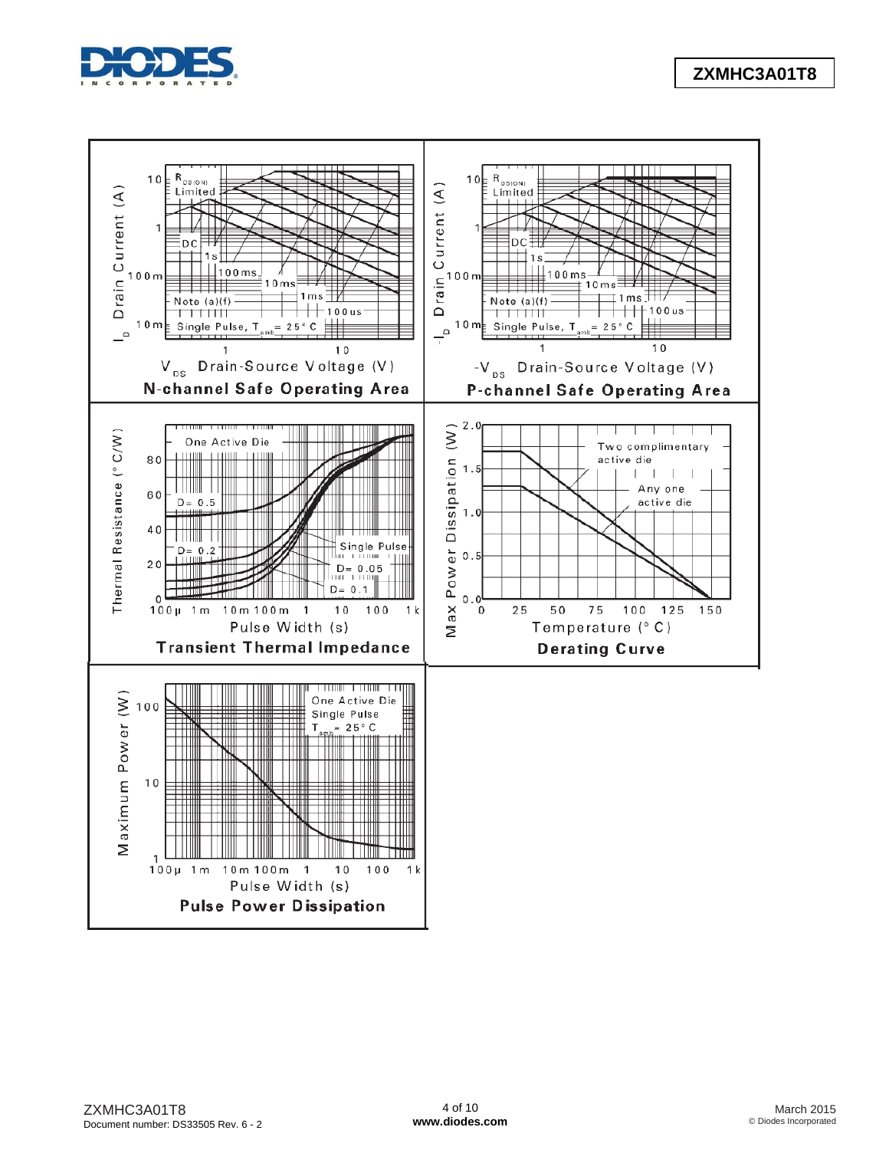

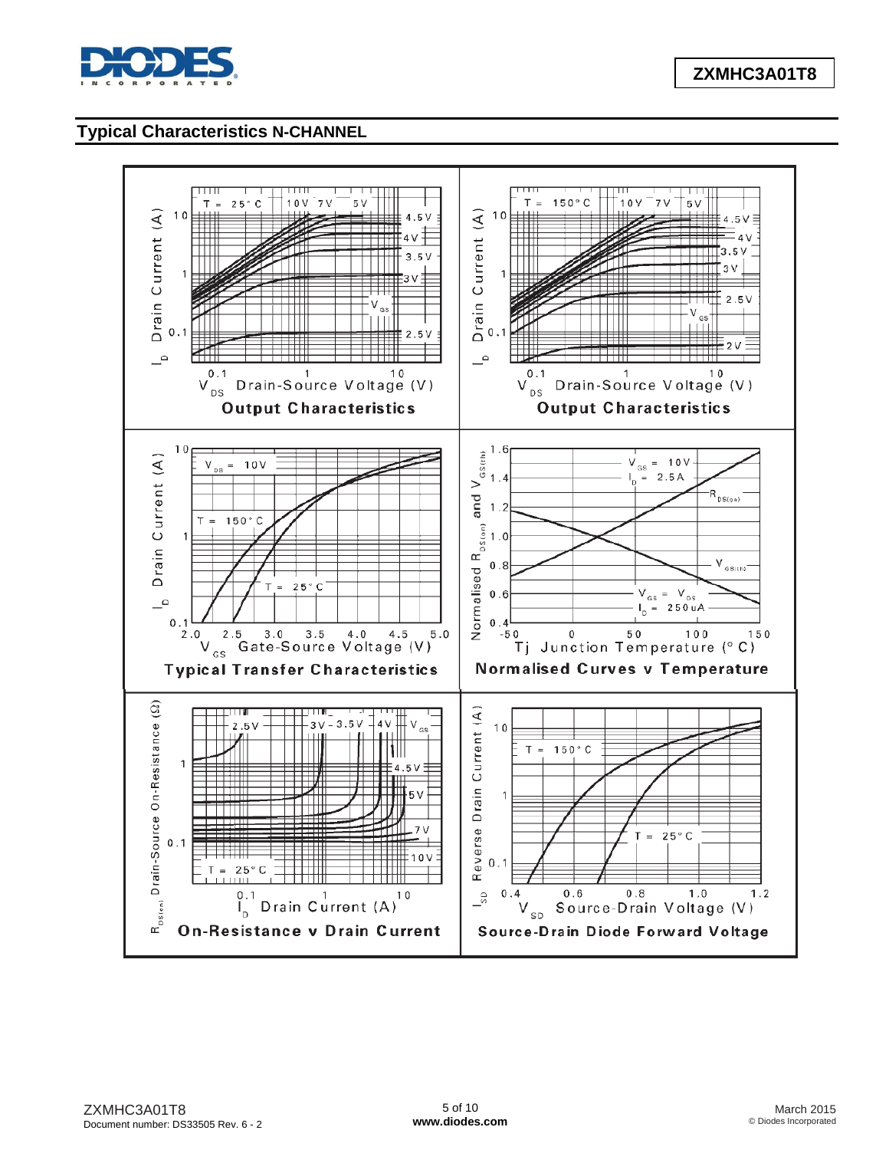

## **Typical Characteristics N-CHANNEL**

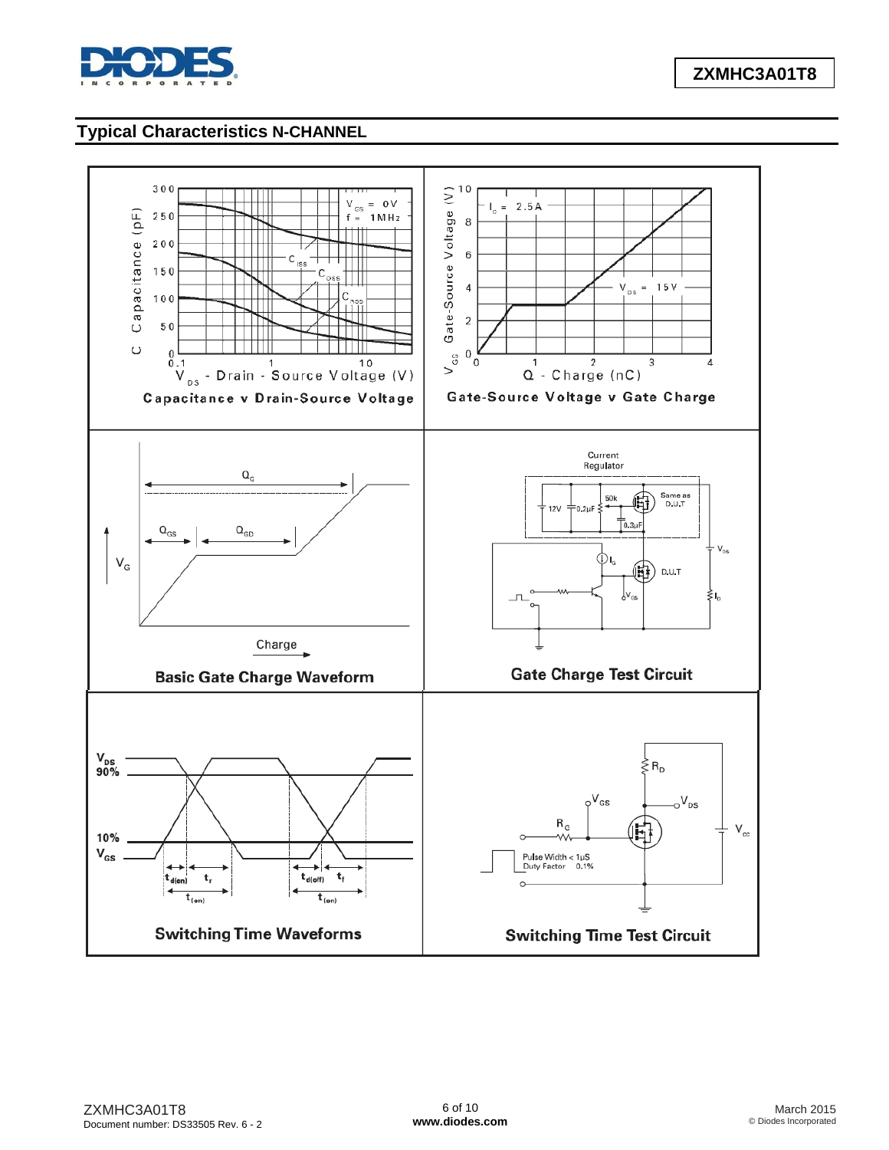

## **Typical Characteristics N-CHANNEL**

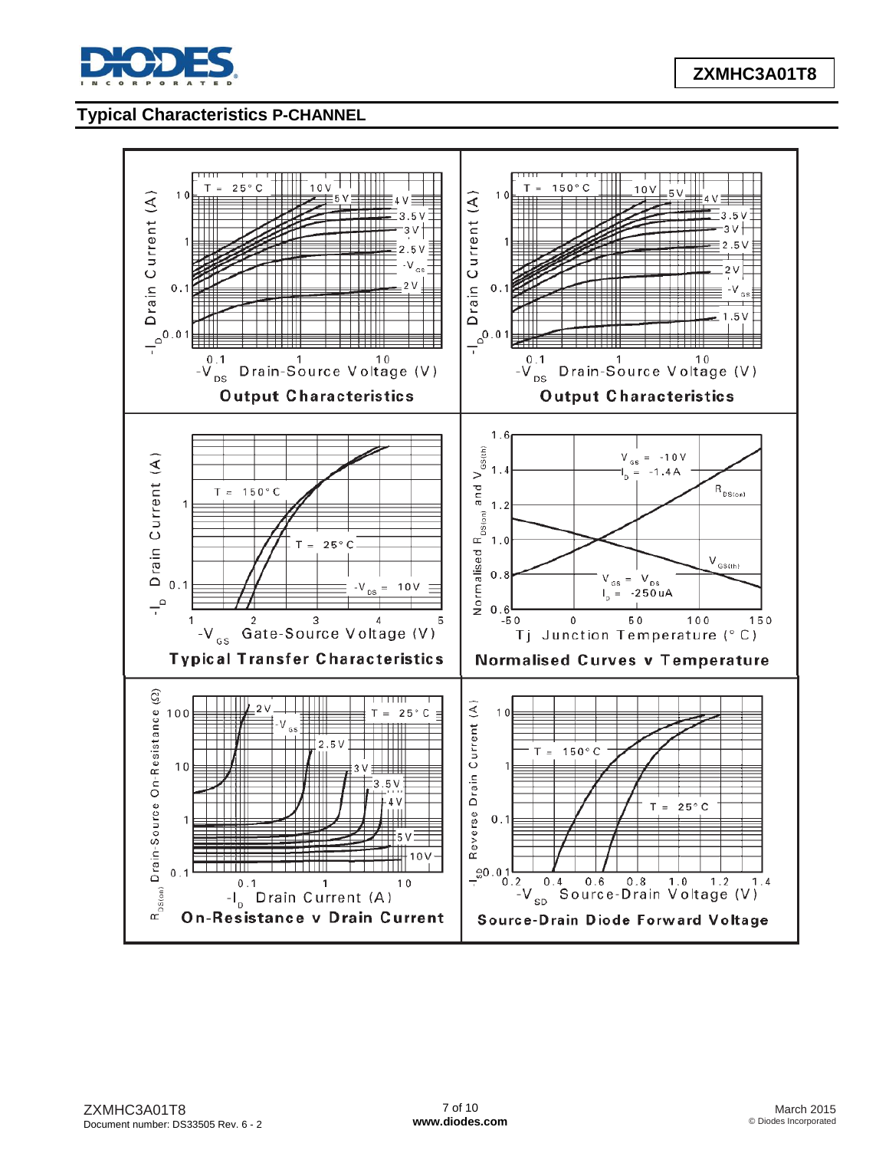

# **Typical Characteristics P-CHANNEL**

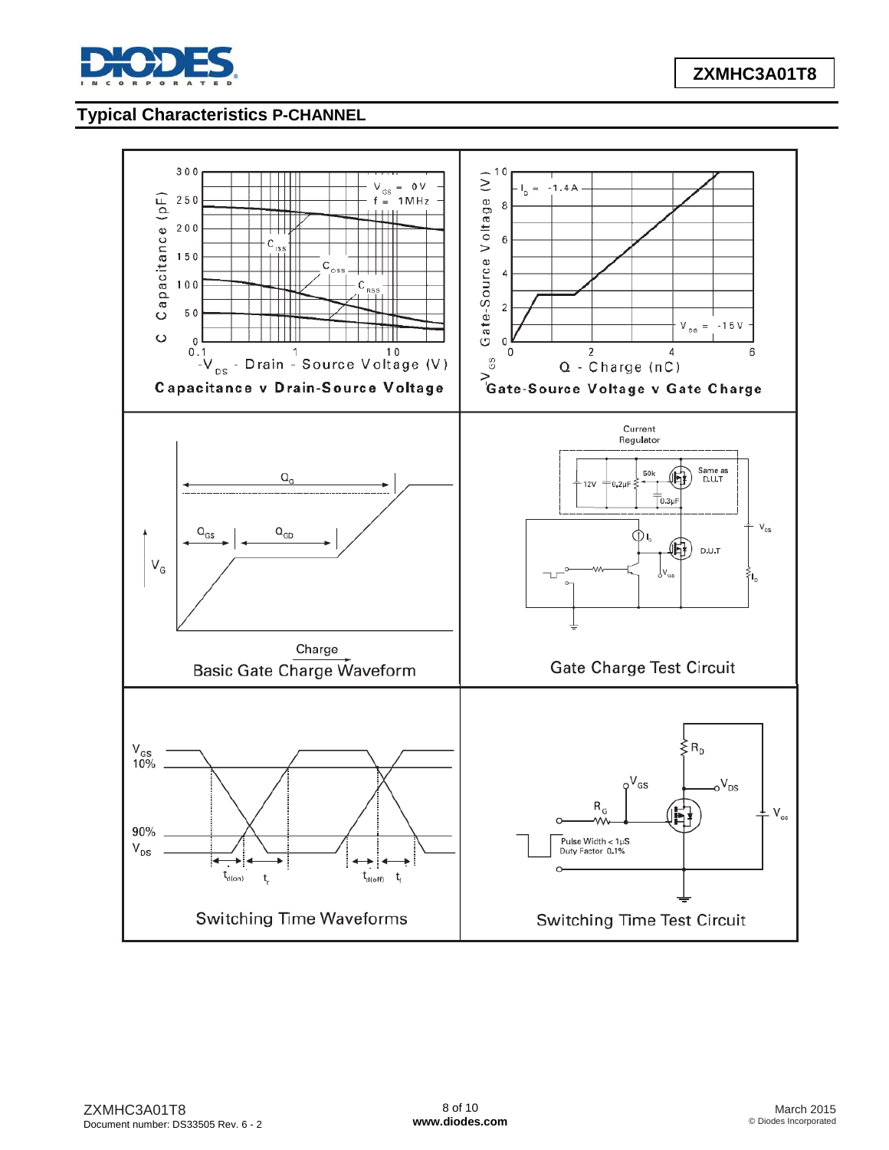

# **Typical Characteristics P-CHANNEL**

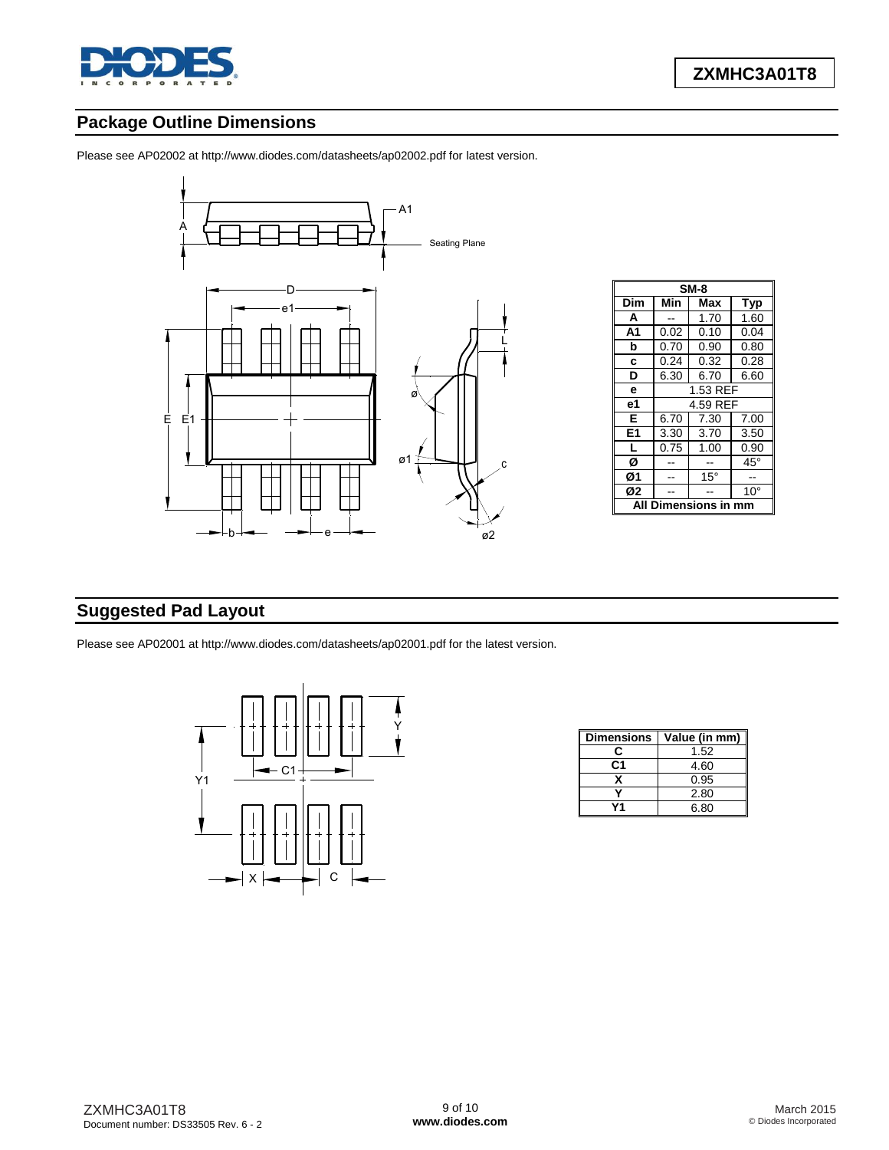

# **Package Outline Dimensions**

Please see AP02002 at [http://www.diodes.com/datasheets/ap02002.pdf fo](http://www.diodes.com/datasheets/ap02002.pdf)r latest version.



| $SM-8$     |                      |              |              |  |  |  |
|------------|----------------------|--------------|--------------|--|--|--|
| Dim        | Min<br>Max<br>Typ    |              |              |  |  |  |
| А          |                      | 1.70         | 1.60         |  |  |  |
| A1         | 0.02                 | 0.10         | 0.04         |  |  |  |
| b          | 0.70                 | 0.90         | 0.80         |  |  |  |
| c          | 0.24                 | 0.32         | 0.28         |  |  |  |
| D          | 6.30<br>6.70<br>6.60 |              |              |  |  |  |
| e          | 1.53 REF             |              |              |  |  |  |
| е1         |                      | 4.59 REF     |              |  |  |  |
| E          | 6.70                 | 7.00<br>7.30 |              |  |  |  |
| E1         | 3.30                 | 3.70         | 3.50         |  |  |  |
| L          | 0.75                 | 1.00         | 0.90         |  |  |  |
| Ø          | $45^{\circ}$         |              |              |  |  |  |
| Ø1         |                      | $15^{\circ}$ |              |  |  |  |
| Ø2         |                      |              | $10^{\circ}$ |  |  |  |
| iensions i |                      |              |              |  |  |  |

### **Suggested Pad Layout**

Please see AP02001 at [http://www.diodes.com/datasheets/ap02001.pdf fo](http://www.diodes.com/datasheets/ap02001.pdf)r the latest version.



| <b>Dimensions</b> | Value (in mm) |
|-------------------|---------------|
| r                 | 1.52          |
| C1                | 4.60          |
|                   | 0.95          |
|                   | 2.80          |
|                   | 6.80          |